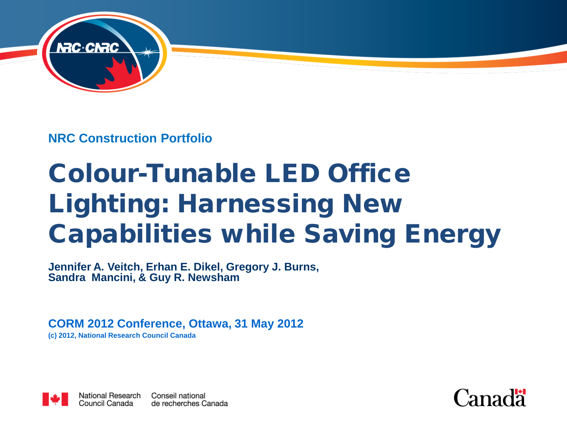

**NRC Construction Portfolio**

# Colour-Tunable LED Office Lighting: Harnessing New Capabilities while Saving Energy

**Jennifer A. Veitch, Erhan E. Dikel, Gregory J. Burns, Sandra Mancini, & Guy R. Newsham**

**CORM 2012 Conference, Ottawa, 31 May 2012**

**(c) 2012, National Research Council Canada**



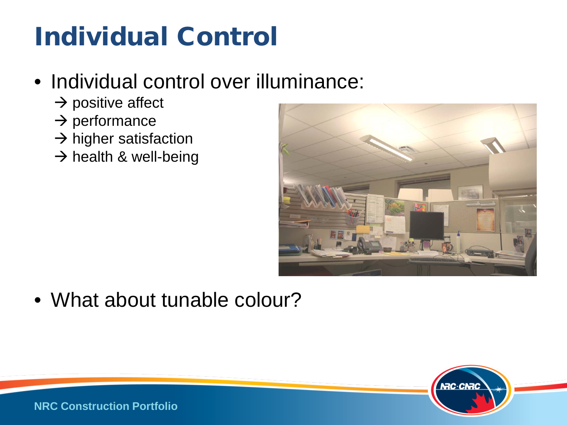# Individual Control

#### • Individual control over illuminance:

- $\rightarrow$  positive affect
- $\rightarrow$  performance
- $\rightarrow$  higher satisfaction
- $\rightarrow$  health & well-being



• What about tunable colour?

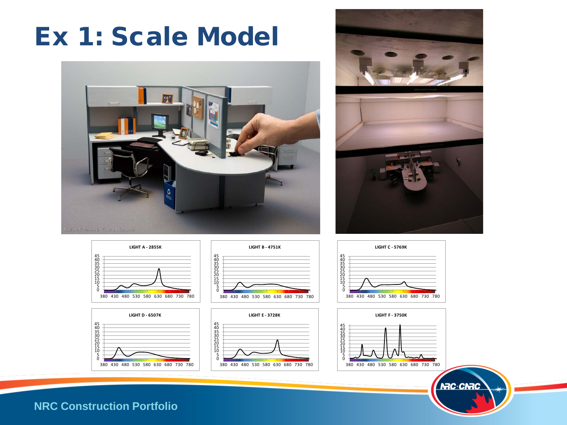### Ex 1: Scale Model

















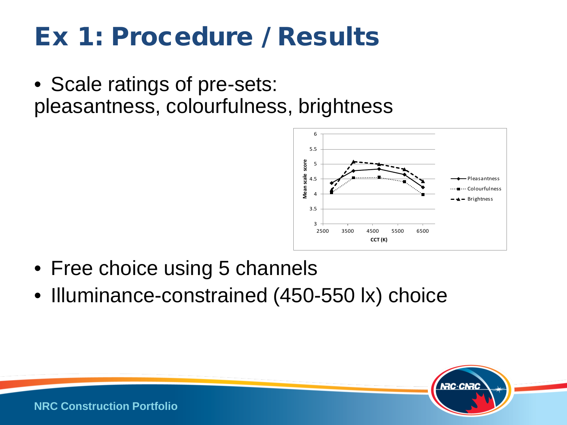### Ex 1: Procedure / Results

• Scale ratings of pre-sets: pleasantness, colourfulness, brightness



- Free choice using 5 channels
- Illuminance-constrained (450-550 lx) choice

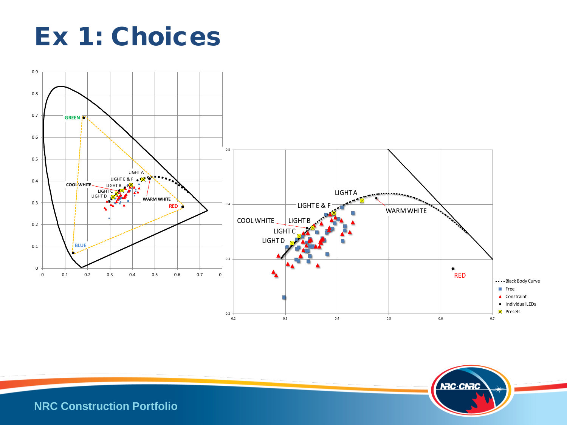



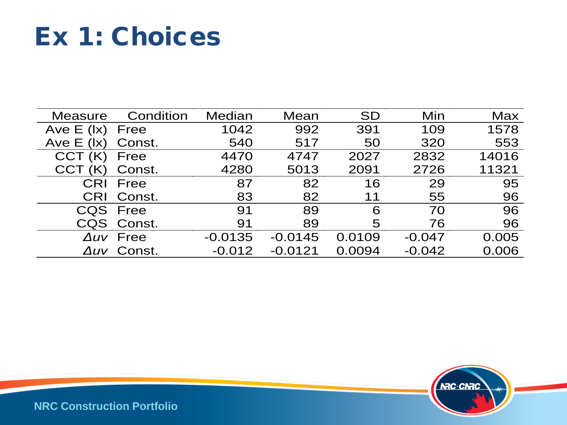### Ex 1: Choices

| <b>Measure</b>                | Condition        | Median    | Mean      | <b>SD</b> | Min      | <b>Max</b> |
|-------------------------------|------------------|-----------|-----------|-----------|----------|------------|
| Ave $E$ ( $\vert x \rangle$ ) | Free             | 1042      | 992       | 391       | 109      | 1578       |
| Ave $E$ ( $\vert x \rangle$ ) | Const.           | 540       | 517       | 50        | 320      | 553        |
| CCT(K)                        | Free             | 4470      | 4747      | 2027      | 2832     | 14016      |
| CCT (K)                       | Const.           | 4280      | 5013      | 2091      | 2726     | 11321      |
| CRI                           | Free             | 87        | 82        | 16        | 29       | 95         |
| <b>CRI</b>                    | Const.           | 83        | 82        | 11        | 55       | 96         |
|                               | CQS Free         | 91        | 89        | 6         | 70       | 96         |
|                               | CQS Const.       | 91        | 89        | 5         | 76       | 96         |
|                               | $\Delta uv$ Free | $-0.0135$ | $-0.0145$ | 0.0109    | $-0.047$ | 0.005      |
|                               | Auv Const.       | $-0.012$  | $-0.0121$ | 0.0094    | $-0.042$ | 0.006      |

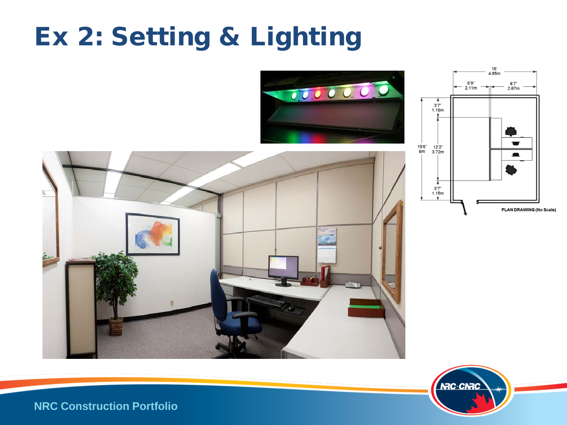# Ex 2: Setting & Lighting







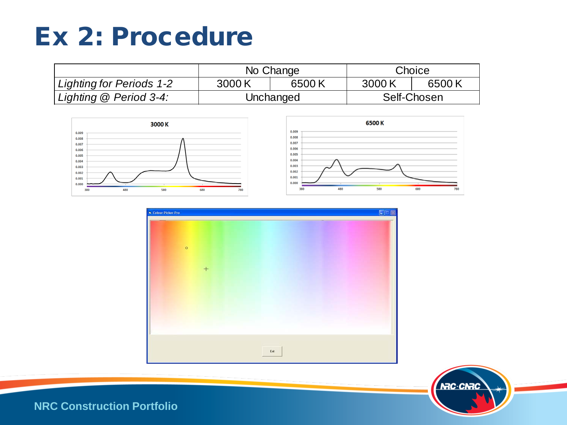### Ex 2: Procedure

|                                 |           | No Change | Choice      |       |  |
|---------------------------------|-----------|-----------|-------------|-------|--|
| <b>Lighting for Periods 1-2</b> | 3000K     | 6500K     | 3000K       | 6500K |  |
| Lighting @ Period 3-4:          | Unchanged |           | Self-Chosen |       |  |







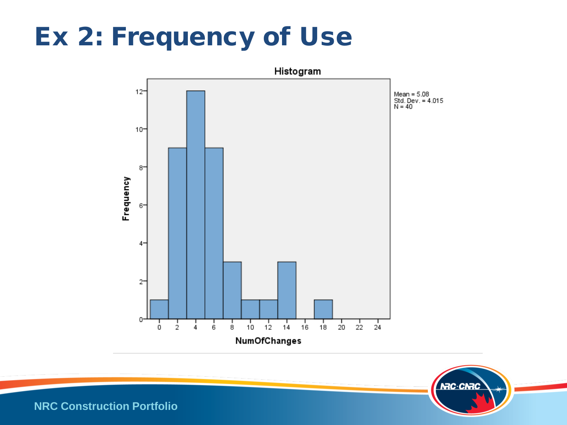## Ex 2: Frequency of Use



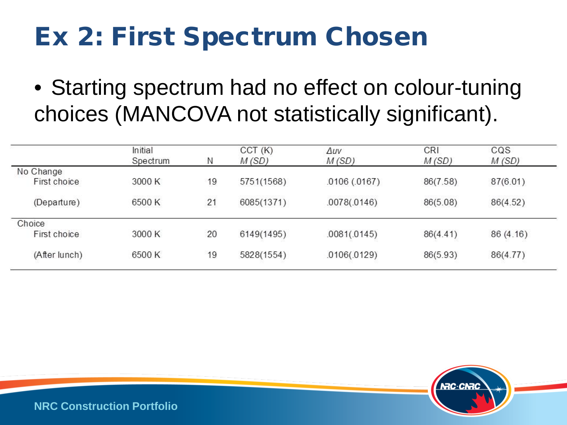# Ex 2: First Spectrum Chosen

• Starting spectrum had no effect on colour-tuning choices (MANCOVA not statistically significant).

| Initial  |        | CCT(K)     | Δuν          | <b>CRI</b>   | CQS      |
|----------|--------|------------|--------------|--------------|----------|
| Spectrum | Ν      | M(SD)      | M(SD)        | M(SD)        | M(SD)    |
|          |        |            |              |              |          |
| 3000 K   | 19     | 5751(1568) | .0106(.0167) | 86(7.58)     | 87(6.01) |
|          |        |            |              |              | 86(4.52) |
|          |        |            |              |              |          |
|          |        |            |              |              |          |
| 3000 K   | 20     | 6149(1495) | .0081(.0145) | 86(4.41)     | 86(4.16) |
| 6500 K   | 19     | 5828(1554) | .0106(.0129) | 86(5.93)     | 86(4.77) |
|          | 6500 K | 21         | 6085(1371)   | .0078(.0146) | 86(5.08) |

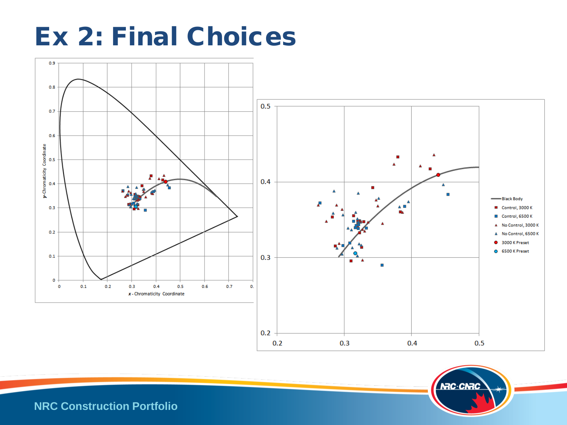### Ex 2: Final Choices



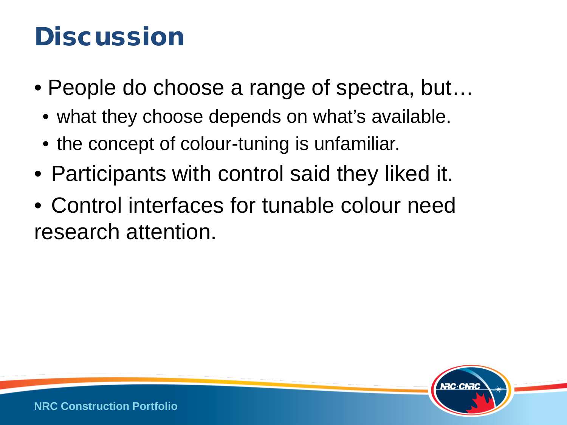### **Discussion**

- People do choose a range of spectra, but...
	- what they choose depends on what's available.
	- the concept of colour-tuning is unfamiliar.
- Participants with control said they liked it.
- Control interfaces for tunable colour need research attention.